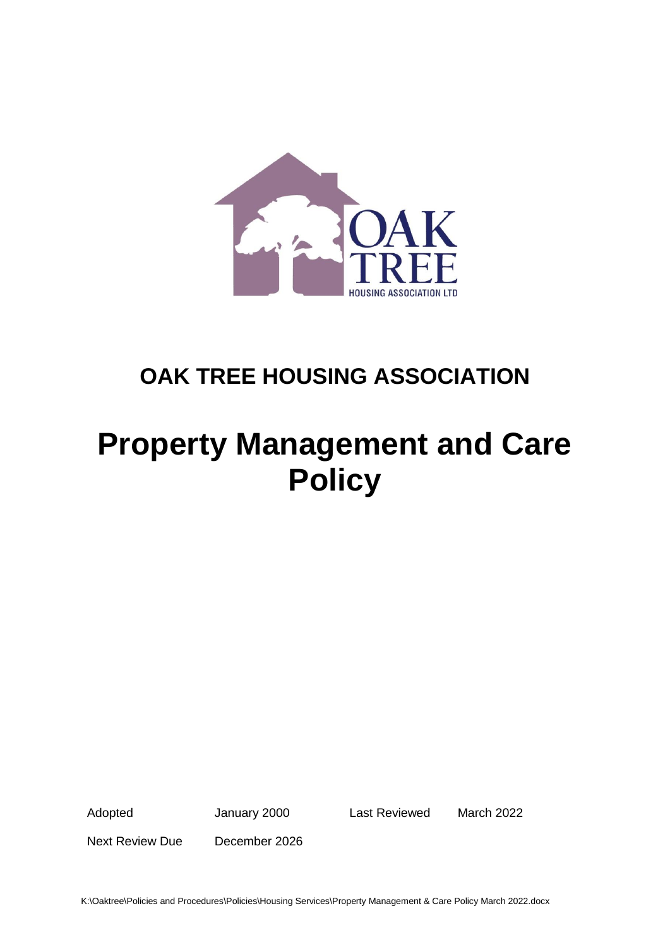

# **OAK TREE HOUSING ASSOCIATION**

# **Property Management and Care Policy**

Adopted January 2000 Last Reviewed March 2022

Next Review Due December 2026

K:\Oaktree\Policies and Procedures\Policies\Housing Services\Property Management & Care Policy March 2022.docx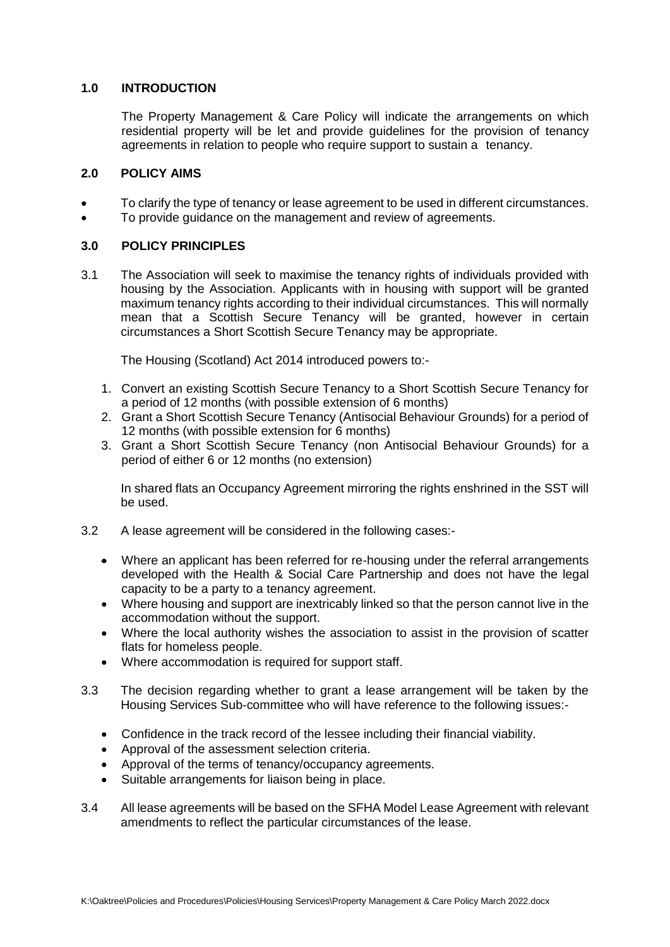## **1.0 INTRODUCTION**

The Property Management & Care Policy will indicate the arrangements on which residential property will be let and provide guidelines for the provision of tenancy agreements in relation to people who require support to sustain a tenancy.

#### **2.0 POLICY AIMS**

- To clarify the type of tenancy or lease agreement to be used in different circumstances.
- To provide guidance on the management and review of agreements.

## **3.0 POLICY PRINCIPLES**

3.1 The Association will seek to maximise the tenancy rights of individuals provided with housing by the Association. Applicants with in housing with support will be granted maximum tenancy rights according to their individual circumstances. This will normally mean that a Scottish Secure Tenancy will be granted, however in certain circumstances a Short Scottish Secure Tenancy may be appropriate.

The Housing (Scotland) Act 2014 introduced powers to:-

- 1. Convert an existing Scottish Secure Tenancy to a Short Scottish Secure Tenancy for a period of 12 months (with possible extension of 6 months)
- 2. Grant a Short Scottish Secure Tenancy (Antisocial Behaviour Grounds) for a period of 12 months (with possible extension for 6 months)
- 3. Grant a Short Scottish Secure Tenancy (non Antisocial Behaviour Grounds) for a period of either 6 or 12 months (no extension)

In shared flats an Occupancy Agreement mirroring the rights enshrined in the SST will be used.

- 3.2 A lease agreement will be considered in the following cases:-
	- Where an applicant has been referred for re-housing under the referral arrangements developed with the Health & Social Care Partnership and does not have the legal capacity to be a party to a tenancy agreement.
	- Where housing and support are inextricably linked so that the person cannot live in the accommodation without the support.
	- Where the local authority wishes the association to assist in the provision of scatter flats for homeless people.
	- Where accommodation is required for support staff.
- 3.3 The decision regarding whether to grant a lease arrangement will be taken by the Housing Services Sub-committee who will have reference to the following issues:-
	- Confidence in the track record of the lessee including their financial viability.
	- Approval of the assessment selection criteria.
	- Approval of the terms of tenancy/occupancy agreements.
	- Suitable arrangements for liaison being in place.
- 3.4 All lease agreements will be based on the SFHA Model Lease Agreement with relevant amendments to reflect the particular circumstances of the lease.